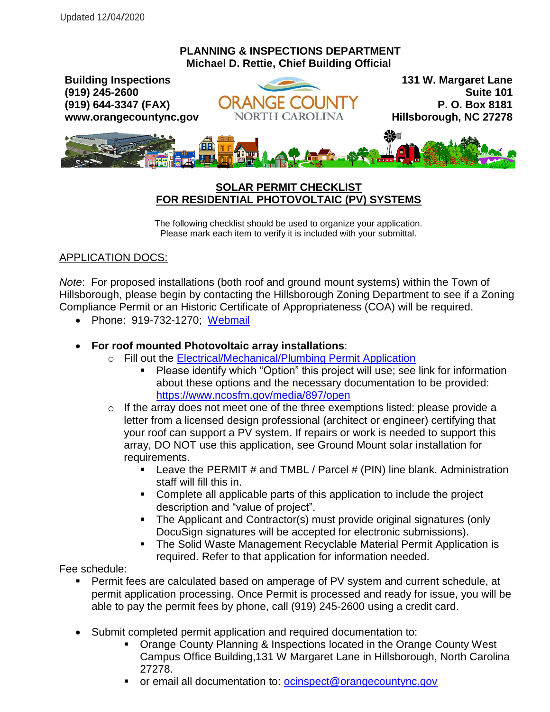## **PLANNING & INSPECTIONS DEPARTMENT Michael D. Rettie, Chief Building Official**



## **SOLAR PERMIT CHECKLIST FOR RESIDENTIAL PHOTOVOLTAIC (PV) SYSTEMS**

The following checklist should be used to organize your application. Please mark each item to verify it is included with your submittal.

## APPLICATION DOCS:

*Note*: For proposed installations (both roof and ground mount systems) within the Town of Hillsborough, please begin by contacting the Hillsborough Zoning Department to see if a Zoning Compliance Permit or an Historic Certificate of Appropriateness (COA) will be required.

• Phone: 919-732-1270; [Webmail](https://www.hillsboroughnc.gov/contact-us/40/contact-zoning-compliance-and-signs.html)

## **For roof mounted Photovoltaic array installations**:

- o Fill out the [Electrical/Mechanical/Plumbing Permit Application](https://www.orangecountync.gov/DocumentCenter/View/3005/Simple-Electrical-Mechanical-and-Plumbing-Permit-Application-PDF)
	- **Please identify which "Option" this project will use; see link for information** about these options and the necessary documentation to be provided: <https://www.ncosfm.gov/media/897/open>
- o If the array does not meet one of the three exemptions listed: please provide a letter from a licensed design professional (architect or engineer) certifying that your roof can support a PV system. If repairs or work is needed to support this array, DO NOT use this application, see Ground Mount solar installation for requirements.
	- **Leave the PERMIT # and TMBL / Parcel # (PIN) line blank. Administration** staff will fill this in.
	- Complete all applicable parts of this application to include the project description and "value of project".
	- The Applicant and Contractor(s) must provide original signatures (only DocuSign signatures will be accepted for electronic submissions).
	- The Solid Waste Management Recyclable Material Permit Application is required. Refer to that application for information needed.

Fee schedule:

- Permit fees are calculated based on amperage of PV system and current schedule, at permit application processing. Once Permit is processed and ready for issue, you will be able to pay the permit fees by phone, call (919) 245-2600 using a credit card.
- Submit completed permit application and required documentation to:
	- Orange County Planning & Inspections located in the Orange County West Campus Office Building,131 W Margaret Lane in Hillsborough, North Carolina 27278.
	- or email all documentation to: [ocinspect@orangecountync.gov](mailto:ocinspect@orangecountync.gov)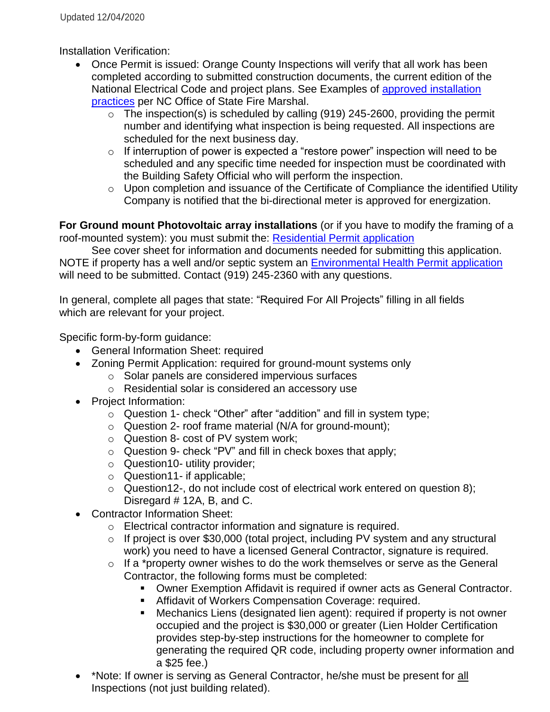Installation Verification:

- Once Permit is issued: Orange County Inspections will verify that all work has been completed according to submitted construction documents, the current edition of the National Electrical Code and project plans. See Examples of [approved installation](https://www.ncosfm.gov/media/898/open)  [practices](https://www.ncosfm.gov/media/898/open) per NC Office of State Fire Marshal.
	- $\circ$  The inspection(s) is scheduled by calling (919) 245-2600, providing the permit number and identifying what inspection is being requested. All inspections are scheduled for the next business day.
	- $\circ$  If interruption of power is expected a "restore power" inspection will need to be scheduled and any specific time needed for inspection must be coordinated with the Building Safety Official who will perform the inspection.
	- $\circ$  Upon completion and issuance of the Certificate of Compliance the identified Utility Company is notified that the bi-directional meter is approved for energization.

**For Ground mount Photovoltaic array installations** (or if you have to modify the framing of a roof-mounted system): you must submit the: [Residential Permit application](https://www.orangecountync.gov/DocumentCenter/View/3032/Residential-Permit-Application-Information-PDF)

See cover sheet for information and documents needed for submitting this application. NOTE if property has a well and/or septic system an [Environmental Health Permit application](https://www.orangecountync.gov/DocumentCenter/View/12712/PERMIT-APPLICATION--2020?bidId=) will need to be submitted. Contact (919) 245-2360 with any questions.

In general, complete all pages that state: "Required For All Projects" filling in all fields which are relevant for your project.

Specific form-by-form guidance:

- General Information Sheet: required
- Zoning Permit Application: required for ground-mount systems only
	- o Solar panels are considered impervious surfaces
	- o Residential solar is considered an accessory use
- Project Information:
	- o Question 1- check "Other" after "addition" and fill in system type;
	- o Question 2- roof frame material (N/A for ground-mount);
	- o Question 8- cost of PV system work;
	- o Question 9- check "PV" and fill in check boxes that apply;
	- o Question10- utility provider;
	- o Question11- if applicable;
	- o Question12-, do not include cost of electrical work entered on question 8); Disregard # 12A, B, and C.
- Contractor Information Sheet:
	- o Electrical contractor information and signature is required.
	- o If project is over \$30,000 (total project, including PV system and any structural work) you need to have a licensed General Contractor, signature is required.
	- o If a \*property owner wishes to do the work themselves or serve as the General Contractor, the following forms must be completed:
		- Owner Exemption Affidavit is required if owner acts as General Contractor.
		- **Affidavit of Workers Compensation Coverage: required.**
		- Mechanics Liens (designated lien agent): required if property is not owner occupied and the project is \$30,000 or greater (Lien Holder Certification provides step-by-step instructions for the homeowner to complete for generating the required QR code, including property owner information and a \$25 fee.)
- \*Note: If owner is serving as General Contractor, he/she must be present for all Inspections (not just building related).